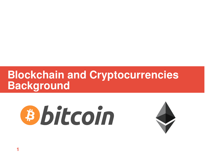# **Blockchain and Cryptocurrencies Background**



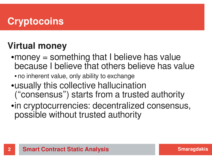# **Cryptocoins**

## **Virtual money**

- $\bullet$  money = something that I believe has value because I believe that others believe has value
	- no inherent value, only ability to exchange
- usually this collective hallucination ("consensus") starts from a trusted authority
- in cryptocurrencies: decentralized consensus, possible without trusted authority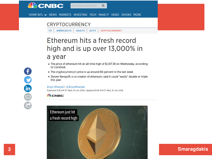

HOME INTL v NEWS MARKETS INVESTING TECH MAKE IT VIDEO SHOWS MORE

Search Quotes, News & Video

#### **CRYPTOCURRENCY**

FX | AMERICAS FX | ASIA FX | EU FX | CRYPTOCURRENCY

#### Ethereum hits a fresh record high and is up over 13,000% in a year

 $Q$ 

- The price of ethereum hit an all-time high of \$1,417.38 on Wednesday, according to CoinDesk
- The cryptocurrency's price is up around 60 percent in the last week
- Steven Nerayoff, a co-creator of ethereum, said it could "easily" double or triple this year

#### Arjun Kharpal | @ArjunKharpal

Published 3:16 AM ET Wed, 10 Jan 2018 | Updated 9:56 AM ET Wed, 10 Jan 2018

#### **SL CNBC**

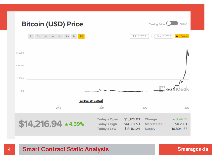|         | <b>Bitcoin (USD) Price</b>                                                                     |                                                                  | <b>Closing Price</b>                                                                      | OHLC                                 |
|---------|------------------------------------------------------------------------------------------------|------------------------------------------------------------------|-------------------------------------------------------------------------------------------|--------------------------------------|
|         | All<br>12h<br>1 <sub>h</sub><br>1 <sub>d</sub><br>1w<br>1 <sub>m</sub><br>3m<br>1 <sub>y</sub> |                                                                  | Jan 15, 2018<br>Jul 18, 2010<br>to                                                        | ٠<br>Export                          |
| \$15000 |                                                                                                |                                                                  |                                                                                           |                                      |
| \$10000 |                                                                                                |                                                                  |                                                                                           |                                      |
| \$5000  |                                                                                                |                                                                  |                                                                                           |                                      |
| \$0     |                                                                                                |                                                                  |                                                                                           |                                      |
|         | 2012                                                                                           | CoinDesk BPI in effect<br>2014                                   | 2016                                                                                      | 2018                                 |
|         | $$14,216.94$ $\triangle$ 4.39%                                                                 | <b>Today's Open</b><br><b>Today's High</b><br><b>Today's Low</b> | \$13,619.03<br>Change<br>\$14,307.53<br><b>Market Cap</b><br>\$13,401.24<br><b>Supply</b> | ▲ \$597.91<br>\$0.239T<br>16,804,188 |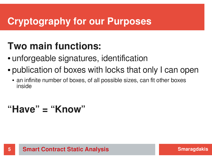# **Cryptography for our Purposes**

# **Two main functions:**

- unforgeable signatures, identification
- publication of boxes with locks that only I can open
	- an infinite number of boxes, of all possible sizes, can fit other boxes inside

# **"Have" = "Know"**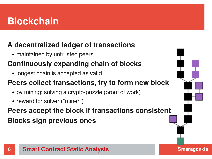# **Blockchain**

#### **A decentralized ledger of transactions**

• maintained by untrusted peers

#### **Continuously expanding chain of blocks**

• longest chain is accepted as valid

#### **Peers collect transactions, try to form new block**

- by mining: solving a crypto-puzzle (proof of work)
- reward for solver ("miner")

#### **Peers accept the block if transactions consistent Blocks sign previous ones**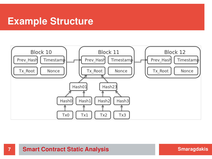#### **Example Structure**

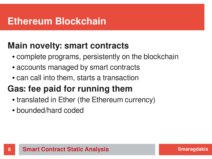## **Ethereum Blockchain**

#### **Main novelty: smart contracts**

- complete programs, persistently on the blockchain
- accounts managed by smart contracts
- can call into them, starts a transaction

# **Gas: fee paid for running them**

- translated in Ether (the Ethereum currency)
- bounded/hard coded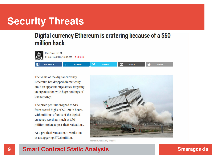## **Security Threats**

#### Digital currency Ethereum is cratering because of a \$50 million hack



Rob Price ⊠ ♥ ① Jun. 17, 2016, 10:34 AM ▲ 30,040



The value of the digital currency Ethereum has dropped dramatically amid an apparent huge attack targeting an organisation with huge holdings of the currency.

The price per unit dropped to \$15 from record highs of \$21.50 in hours, with millions of units of the digital currency worth as much as \$50 million stolen at post-theft valuations.

At a pre-theft valuation, it works out as a staggering \$79.6 million.



**PRINT** 

Martin Hunter/Getty Images

#### **9 Smart Contract Static Analysis Smart Contract Static Analysis**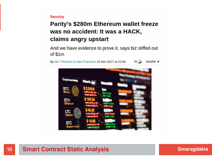#### **Security**

#### **Parity's \$280m Ethereum wallet freeze** was no accident: It was a HACK, claims angry upstart

And we have evidence to prove it, says biz stiffed out of \$1m

By Iain Thomson in San Francisco 10 Nov 2017 at 22:40  $78$ SHARE **v** 



#### **10 Smart Contract Static Analysis Smart Contract Static Analysis Smart Contract Static Analysis**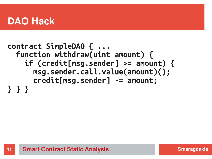### **DAO Hack**

#### **contract SimpleDAO { ... function withdraw(uint amount) { if (credit[msg.sender] >= amount) { msg.sender.call.value(amount)(); credit[msg.sender] -= amount; } } }**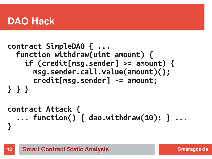## **DAO Hack**

```
contract SimpleDAO { ...
   function withdraw(uint amount) {
     if (credit[msg.sender] >= amount) {
       msg.sender.call.value(amount)();
       credit[msg.sender] -= amount;
} } }
```

```
contract Attack {
   ... function() { dao.withdraw(10); } ...
}
```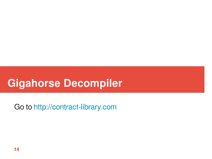# **Gigahorse Decompiler**

Go to http://contract-library.com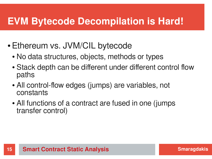## **EVM Bytecode Decompilation is Hard!**

- Ethereum vs. JVM/CIL bytecode
	- No data structures, objects, methods or types
	- Stack depth can be different under different control flow paths
	- All control-flow edges (jumps) are variables, not constants
	- All fu[nctions of a contract are fu](http://contract-library.com/)sed in one (jumps) transfer control)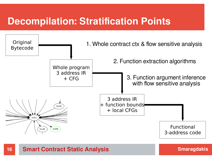## **Decompilation: Stratification Points**

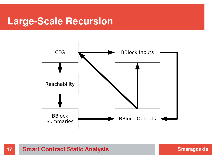#### **Large-Scale Recursion**



**17 Smart Contract Static Analysis Smart Contract Static Analysis Smart Contract Static Analysis**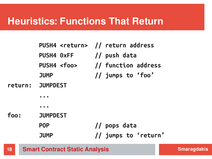#### **Heuristics: Functions That Return**

|      | PUSH4 <return> // return address</return> |                                       |
|------|-------------------------------------------|---------------------------------------|
|      | PUSH4 0xFF                                | // push data                          |
|      |                                           | PUSH4 <foo> // function address</foo> |
|      | <b>JUMP</b>                               | // jumps to 'foo'                     |
|      | return: JUMPDEST                          |                                       |
|      |                                           |                                       |
|      |                                           |                                       |
| foo: | <b>JUMPDEST</b>                           |                                       |
|      | <b>POP</b>                                | // pops data                          |
|      | <b>JUMP</b>                               | // jumps to 'return'                  |

**18 Smart Contract Static Analysis Smart Contract Static Analysis Smart Contract Static Analysis**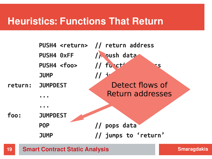#### **Heuristics: Functions That Return**

|         |                   | PUSH4 <return> // return address</return> |
|---------|-------------------|-------------------------------------------|
|         | PUSH4 0xFF        | / oush data                               |
|         | PUSH4 <foo></foo> | // fu ct                                  |
|         | <b>JUMP</b>       |                                           |
| return: | <b>JUMPDEST</b>   | Detect flows of                           |
|         |                   | <b>Return addresses</b>                   |
|         |                   |                                           |
| foo:    | <b>JUMPDEST</b>   |                                           |
|         | <b>POP</b>        | // pops data                              |
|         | <b>JUMP</b>       | // jumps to 'return'                      |
|         |                   |                                           |

**19 ISMET Contract Static Analysis 1986 1997 Smaragdakis**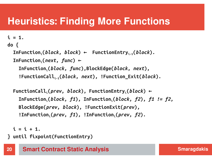# **Heuristics: Finding More Functions**

```
do {
  \mathbf{Infunction}_{i}(block, block, block) \leftarrow \mathbf{FunctionEntry}_{i-1}(block). InFunctioni(next, func) ←
      InFunctioni(block, func),BlockEdge(block, next),
      !FunctionCalli-1(block, next), !Function_Exit(block).
```

```
 FunctionCalli(prev, block), FunctionEntryi(block) ←
   InFunctioni(block, f1), InFunctioni(block, f2), f1 != f2,
   BlockEdge(prev, block), !FunctionExit(prev), 
   !InFunctioni(prev, f1), !InFunctioni(prev, f2).
```

```
i = i + 1.
```
 $i = 1.$ 

**} until fixpoint(FunctionEntry)**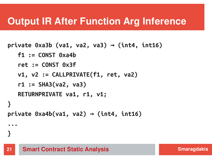### **Output IR After Function Arg Inference**

```
\piivate 0xa3b (va1, va2, va3) \rightarrow (int4, int16)
    f1 := CONST 0xa4b
    ret := CONST 0x3f
    v1, v2 := CALLPRIVATE(f1, ret, va2)
    r1 := SHA3(va2, va3)
    RETURNPRIVATE va1, r1, v1;
}
\piprivate 0xa4b(va1, va2) \rightarrow (int4, int16)
...
}
```